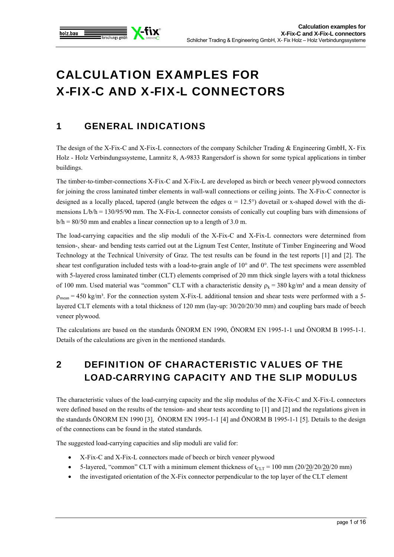

# CALCULATION EXAMPLES FOR X-FIX-C AND X-FIX-L CONNECTORS

# 1 GENERAL INDICATIONS

The design of the X-Fix-C and X-Fix-L connectors of the company Schilcher Trading & Engineering GmbH, X- Fix Holz - Holz Verbindungssysteme, Lamnitz 8, A-9833 Rangersdorf is shown for some typical applications in timber buildings.

The timber-to-timber-connections X-Fix-C and X-Fix-L are developed as birch or beech veneer plywood connectors for joining the cross laminated timber elements in wall-wall connections or ceiling joints. The X-Fix-C connector is designed as a locally placed, tapered (angle between the edges  $\alpha = 12.5^{\circ}$ ) dovetail or x-shaped dowel with the dimensions L/b/h = 130/95/90 mm. The X-Fix-L connector consists of conically cut coupling bars with dimensions of  $b/h = 80/50$  mm and enables a linear connection up to a length of 3.0 m.

The load-carrying capacities and the slip moduli of the X-Fix-C and X-Fix-L connectors were determined from tension-, shear- and bending tests carried out at the Lignum Test Center, Institute of Timber Engineering and Wood Technology at the Technical University of Graz. The test results can be found in the test reports [1] and [2]. The shear test configuration included tests with a load-to-grain angle of  $10^{\circ}$  and  $0^{\circ}$ . The test specimens were assembled with 5-layered cross laminated timber (CLT) elements comprised of 20 mm thick single layers with a total thickness of 100 mm. Used material was "common" CLT with a characteristic density  $\rho_k = 380 \text{ kg/m}^3$  and a mean density of  $\rho_{\text{mean}} = 450 \text{ kg/m}^3$ . For the connection system X-Fix-L additional tension and shear tests were performed with a 5layered CLT elements with a total thickness of 120 mm (lay-up: 30/20/20/30 mm) and coupling bars made of beech veneer plywood.

The calculations are based on the standards ÖNORM EN 1990, ÖNORM EN 1995-1-1 und ÖNORM B 1995-1-1. Details of the calculations are given in the mentioned standards.

# 2 DEFINITION OF CHARACTERISTIC VALUES OF THE LOAD-CARRYING CAPACITY AND THE SLIP MODULUS

The characteristic values of the load-carrying capacity and the slip modulus of the X-Fix-C and X-Fix-L connectors were defined based on the results of the tension- and shear tests according to [1] and [2] and the regulations given in the standards ÖNORM EN 1990 [3], ÖNORM EN 1995-1-1 [4] and ÖNORM B 1995-1-1 [5]. Details to the design of the connections can be found in the stated standards.

The suggested load-carrying capacities and slip moduli are valid for:

- X-Fix-C and X-Fix-L connectors made of beech or birch veneer plywood
- 5-layered, "common" CLT with a minimum element thickness of  $t_{CLT} = 100$  mm (20/20/20/20/20 mm)
- the investigated orientation of the X-Fix connector perpendicular to the top layer of the CLT element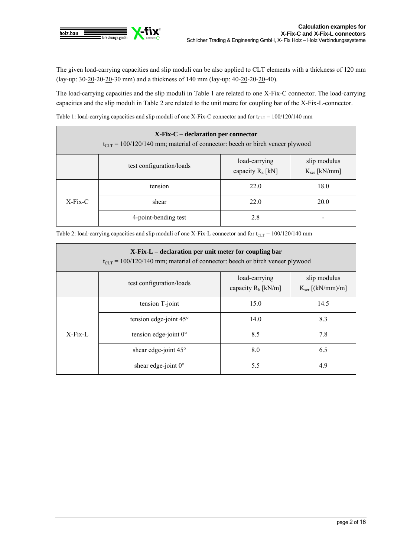

The given load-carrying capacities and slip moduli can be also applied to CLT elements with a thickness of 120 mm (lay-up: 30-20-20-20-30 mm) and a thickness of 140 mm (lay-up: 40-20-20-20-40).

The load-carrying capacities and the slip moduli in Table 1 are related to one X-Fix-C connector. The load-carrying capacities and the slip moduli in Table 2 are related to the unit metre for coupling bar of the X-Fix-L-connector.

Table 1: load-carrying capacities and slip moduli of one X-Fix-C connector and for  $t_{CLT}$  = 100/120/140 mm

| $X-Fix-C - declaration per connector$<br>$t_{\text{CLT}}$ = 100/120/140 mm; material of connector: beech or birch veneer plywood |                          |                                      |                                   |  |
|----------------------------------------------------------------------------------------------------------------------------------|--------------------------|--------------------------------------|-----------------------------------|--|
|                                                                                                                                  | test configuration/loads | load-carrying<br>capacity $R_k$ [kN] | slip modulus<br>$K_{ser}$ [kN/mm] |  |
| $X-Fix-C$                                                                                                                        | tension                  | 22.0                                 | 18.0                              |  |
|                                                                                                                                  | shear                    | 22.0                                 | 20.0                              |  |
|                                                                                                                                  | 4-point-bending test     | 2.8                                  | -                                 |  |

Table 2: load-carrying capacities and slip moduli of one X-Fix-L connector and for  $t_{CLT} = 100/120/140$  mm

| X-Fix-L - declaration per unit meter for coupling bar<br>$t_{CLT}$ = 100/120/140 mm; material of connector: beech or birch veneer plywood |                                 |                                        |                                       |  |
|-------------------------------------------------------------------------------------------------------------------------------------------|---------------------------------|----------------------------------------|---------------------------------------|--|
|                                                                                                                                           | test configuration/loads        | load-carrying<br>capacity $R_k$ [kN/m] | slip modulus<br>$K_{ser}$ [(kN/mm)/m] |  |
| $X-Fix-L$                                                                                                                                 | tension T-joint                 | 15.0                                   | 14.5                                  |  |
|                                                                                                                                           | tension edge-joint $45^{\circ}$ | 14.0                                   | 8.3                                   |  |
|                                                                                                                                           | tension edge-joint $0^{\circ}$  | 8.5                                    | 7.8                                   |  |
|                                                                                                                                           | shear edge-joint 45°            | 8.0                                    | 6.5                                   |  |
|                                                                                                                                           | shear edge-joint $0^\circ$      | 5.5                                    | 4.9                                   |  |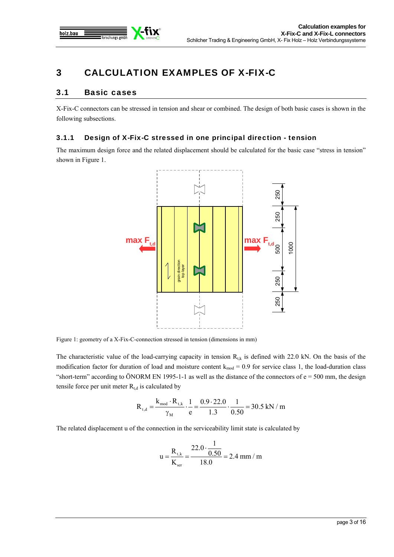

# 3 CALCULATION EXAMPLES OF X-FIX-C

# 3.1 Basic cases

X-Fix-C connectors can be stressed in tension and shear or combined. The design of both basic cases is shown in the following subsections.

### 3.1.1 Design of X-Fix-C stressed in one principal direction - tension

The maximum design force and the related displacement should be calculated for the basic case "stress in tension" shown in Figure 1.



Figure 1: geometry of a X-Fix-C-connection stressed in tension (dimensions in mm)

The characteristic value of the load-carrying capacity in tension  $R_{t,k}$  is defined with 22.0 kN. On the basis of the modification factor for duration of load and moisture content  $k_{mod} = 0.9$  for service class 1, the load-duration class "short-term" according to ÖNORM EN 1995-1-1 as well as the distance of the connectors of  $e = 500$  mm, the design tensile force per unit meter  $R_{t,d}$  is calculated by

$$
R_{t,d} = \frac{k_{mod} \cdot R_{t,k}}{\gamma_M} \cdot \frac{1}{e} = \frac{0.9 \cdot 22.0}{1.3} \cdot \frac{1}{0.50} = 30.5 \text{ kN / m}
$$

The related displacement u of the connection in the serviceability limit state is calculated by

$$
u = \frac{R_{\rm t,k}}{K_{\rm ser}} = \frac{22.0 \cdot \frac{1}{0.50}}{18.0} = 2.4 \text{ mm} / \text{m}
$$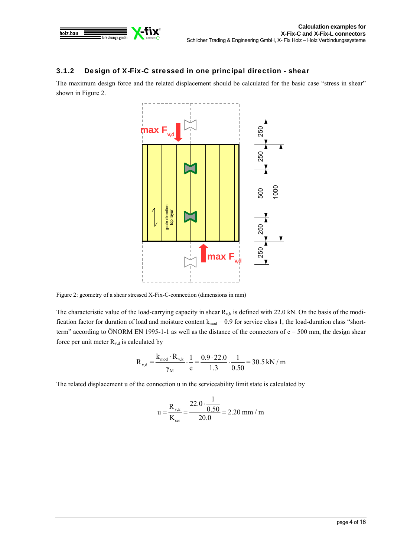

# 3.1.2 Design of X-Fix-C stressed in one principal direction - shear

The maximum design force and the related displacement should be calculated for the basic case "stress in shear" shown in Figure 2.



Figure 2: geometry of a shear stressed X-Fix-C-connection (dimensions in mm)

The characteristic value of the load-carrying capacity in shear  $R_{v,k}$  is defined with 22.0 kN. On the basis of the modification factor for duration of load and moisture content  $k_{mod} = 0.9$  for service class 1, the load-duration class "shortterm" according to ÖNORM EN 1995-1-1 as well as the distance of the connectors of e = 500 mm, the design shear force per unit meter  $R_{v,d}$  is calculated by

$$
R_{\rm v,d} = \frac{k_{\rm mod} \cdot R_{\rm v,k}}{\gamma_{\rm M}} \cdot \frac{1}{e} = \frac{0.9 \cdot 22.0}{1.3} \cdot \frac{1}{0.50} = 30.5 \text{ kN / m}
$$

The related displacement u of the connection u in the serviceability limit state is calculated by

$$
u = \frac{R_{v,k}}{K_{ser}} = \frac{22.0 \cdot \frac{1}{0.50}}{20.0} = 2.20 \text{ mm / m}
$$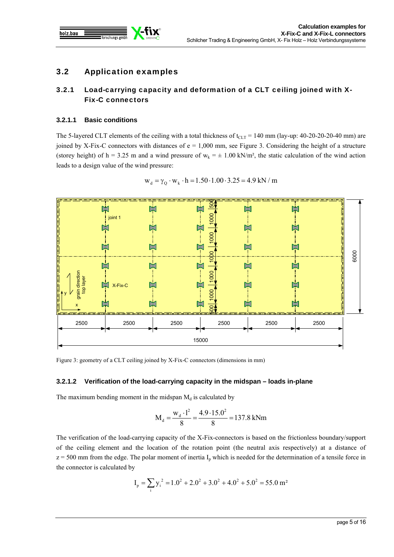

# 3.2 Application examples

# 3.2.1 Load-carrying capacity and deformation of a CLT ceiling joined with X-Fix-C connectors

### **3.2.1.1 Basic conditions**

The 5-layered CLT elements of the ceiling with a total thickness of  $t_{CLT}$  = 140 mm (lay-up: 40-20-20-20-40 mm) are joined by X-Fix-C connectors with distances of  $e = 1,000$  mm, see Figure 3. Considering the height of a structure (storey height) of h = 3.25 m and a wind pressure of  $w_k = \pm 1.00 \text{ kN/m}^2$ , the static calculation of the wind action leads to a design value of the wind pressure:



$$
w_d = \gamma_Q \cdot w_k \cdot h = 1.50 \cdot 1.00 \cdot 3.25 = 4.9 \text{ kN} / m
$$

Figure 3: geometry of a CLT ceiling joined by X-Fix-C connectors (dimensions in mm)

### **3.2.1.2 Verification of the load-carrying capacity in the midspan – loads in-plane**

The maximum bending moment in the midspan  $M_d$  is calculated by

$$
M_{d} = \frac{w_{d} \cdot l^{2}}{8} = \frac{4.9 \cdot 15.0^{2}}{8} = 137.8 \text{ kNm}
$$

The verification of the load-carrying capacity of the X-Fix-connectors is based on the frictionless boundary/support of the ceiling element and the location of the rotation point (the neutral axis respectively) at a distance of  $z = 500$  mm from the edge. The polar moment of inertia  $I_p$  which is needed for the determination of a tensile force in the connector is calculated by

$$
I_p = \sum_{i} y_i^2 = 1.0^2 + 2.0^2 + 3.0^2 + 4.0^2 + 5.0^2 = 55.0 \text{ m}^2
$$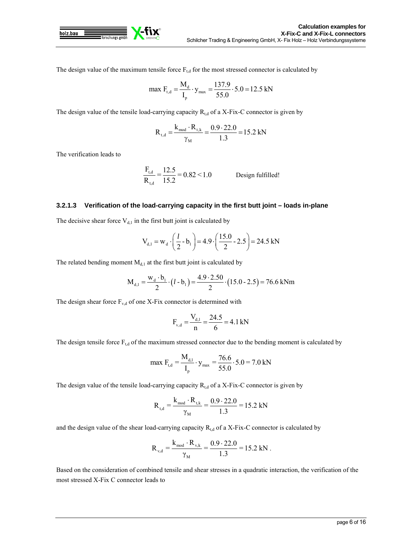

The design value of the maximum tensile force  $F_{t,d}$  for the most stressed connector is calculated by

$$
\max F_{t,d} = \frac{M_d}{I_p} \cdot y_{max} = \frac{137.9}{55.0} \cdot 5.0 = 12.5 \text{ kN}
$$

The design value of the tensile load-carrying capacity  $R_{t,d}$  of a X-Fix-C connector is given by

$$
R_{t,d} = \frac{k_{mod} \cdot R_{t,k}}{\gamma_M} = \frac{0.9 \cdot 22.0}{1.3} = 15.2 \text{ kN}
$$

The verification leads to

$$
\frac{F_{t,d}}{R_{t,d}} = \frac{12.5}{15.2} = 0.82 < 1.0
$$
 Design fulfilled!

#### **3.2.1.3 Verification of the load-carrying capacity in the first butt joint – loads in-plane**

The decisive shear force  $V_{d,1}$  in the first butt joint is calculated by

$$
V_{d,1} = W_d \cdot \left(\frac{l}{2} - b_1\right) = 4.9 \cdot \left(\frac{15.0}{2} - 2.5\right) = 24.5 \text{ kN}
$$

The related bending moment  $M<sub>d,1</sub>$  at the first butt joint is calculated by

$$
M_{d,1} = \frac{w_d \cdot b_1}{2} \cdot (l - b_1) = \frac{4.9 \cdot 2.50}{2} \cdot (15.0 - 2.5) = 76.6 \text{ kNm}
$$

The design shear force  $F_{v,d}$  of one X-Fix connector is determined with

$$
F_{v,d} = \frac{V_{d,1}}{n} = \frac{24.5}{6} = 4.1 \text{ kN}
$$

The design tensile force  $F_{t,d}$  of the maximum stressed connector due to the bending moment is calculated by

$$
\max F_{t,d} = \frac{M_{d,1}}{I_p} \cdot y_{max} = \frac{76.6}{55.0} \cdot 5.0 = 7.0 \text{ kN}
$$

The design value of the tensile load-carrying capacity  $R_{t,d}$  of a X-Fix-C connector is given by

$$
R_{t,d} = \frac{k_{mod} \cdot R_{t,k}}{\gamma_M} = \frac{0.9 \cdot 22.0}{1.3} = 15.2 \text{ kN}
$$

and the design value of the shear load-carrying capacity  $R_{t,d}$  of a X-Fix-C connector is calculated by

$$
R_{v,d} = \frac{k_{mod} \cdot R_{v,k}}{\gamma_M} = \frac{0.9 \cdot 22.0}{1.3} = 15.2 \text{ kN}.
$$

Based on the consideration of combined tensile and shear stresses in a quadratic interaction, the verification of the most stressed X-Fix C connector leads to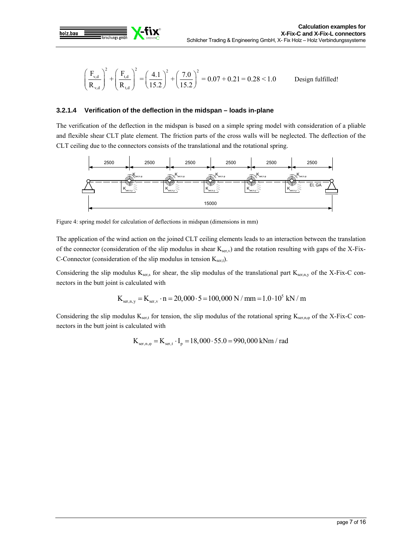

$$
\left(\frac{F_{v,d}}{R_{v,d}}\right)^2 + \left(\frac{F_{t,d}}{R_{t,d}}\right)^2 = \left(\frac{4.1}{15.2}\right)^2 + \left(\frac{7.0}{15.2}\right)^2 = 0.07 + 0.21 = 0.28 < 1.0
$$
\nDesign fulfilled!

### **3.2.1.4 Verification of the deflection in the midspan – loads in-plane**

The verification of the deflection in the midspan is based on a simple spring model with consideration of a pliable and flexible shear CLT plate element. The friction parts of the cross walls will be neglected. The deflection of the CLT ceiling due to the connectors consists of the translational and the rotational spring.



Figure 4: spring model for calculation of deflections in midspan (dimensions in mm)

The application of the wind action on the joined CLT ceiling elements leads to an interaction between the translation of the connector (consideration of the slip modulus in shear  $K_{ser,v}$ ) and the rotation resulting with gaps of the X-Fix-C-Connector (consideration of the slip modulus in tension  $K_{\text{set}}$ ).

Considering the slip modulus  $K_{ser,s}$  for shear, the slip modulus of the translational part  $K_{ser,n,y}$  of the X-Fix-C connectors in the butt joint is calculated with

$$
K_{\text{ser,n,y}} = K_{\text{ser,v}} \cdot n = 20,000 \cdot 5 = 100,000 \text{ N} / \text{mm} = 1.0 \cdot 10^5 \text{ kN} / \text{m}
$$

Considering the slip modulus  $K_{\text{set,t}}$  for tension, the slip modulus of the rotational spring  $K_{\text{set,n,\phi}}$  of the X-Fix-C connectors in the butt joint is calculated with

$$
K_{\text{ser,n},\varphi} = K_{\text{ser,t}} \cdot I_{\text{p}} = 18,000 \cdot 55.0 = 990,000 \text{ kNm / rad}
$$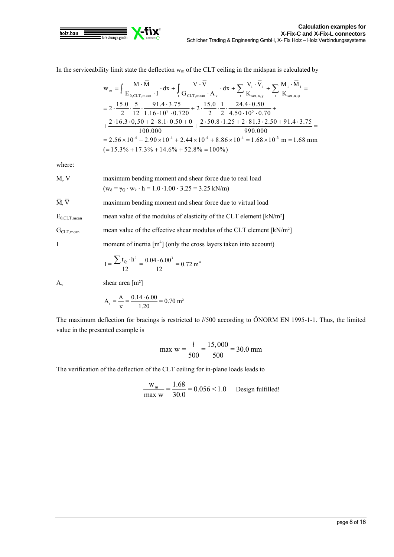

In the serviceability limit state the deflection  $w_m$  of the CLT ceiling in the midspan is calculated by

$$
w_{m} = \int_{1}^{1} \frac{M \cdot \overline{M}}{E_{0,CLT,mean} \cdot I} \cdot dx + \int_{1}^{1} \frac{V \cdot \overline{V}}{G_{CLT,mean} \cdot A_{v}} \cdot dx + \sum_{i} \frac{V_{i} \cdot \overline{V}_{i}}{K_{ser,n,y}} + \sum_{i} \frac{M_{i} \cdot \overline{M}_{i}}{K_{ser,n,\varphi}} =
$$
\n
$$
= 2 \cdot \frac{15.0}{2} \cdot \frac{5}{12} \cdot \frac{91.4 \cdot 3.75}{1.16 \cdot 10^{7} \cdot 0.720} + 2 \cdot \frac{15.0}{2} \cdot \frac{1}{2} \cdot \frac{24.4 \cdot 0.50}{4.50 \cdot 10^{5} \cdot 0.70} +
$$
\n
$$
+ \frac{2 \cdot 16.3 \cdot 0.50 + 2 \cdot 8.1 \cdot 0.50 + 0}{100.000} + \frac{2 \cdot 50.8 \cdot 1.25 + 2 \cdot 81.3 \cdot 2.50 + 91.4 \cdot 3.75}{990.000} =
$$
\n
$$
= 2.56 \times 10^{-4} + 2.90 \times 10^{-4} + 2.44 \times 10^{-4} + 8.86 \times 10^{-4} = 1.68 \times 10^{-3} \text{ m} = 1.68 \text{ mm}
$$
\n
$$
(= 15.3\% + 17.3\% + 14.6\% + 52.8\% = 100\%)
$$

where:

M, V maximum bending moment and shear force due to real load  
\n
$$
(w_d = \gamma_Q \cdot w_k \cdot h = 1.0 \cdot 1.00 \cdot 3.25 = 3.25 \text{ kN/m})
$$

 $\overline{M}, \overline{V}$  maximum bending moment and shear force due to virtual load

 $E_{0,CLT,mean}$  mean value of the modulus of elasticity of the CLT element  $[kN/m^2]$ 

 $G_{CLT,mean}$  mean value of the effective shear modulus of the CLT element  $[kN/m^2]$ 

I moment of inertia  $[m<sup>4</sup>]$  (only the cross layers taken into account)

$$
I = \frac{\sum t_{Q} \cdot h^{3}}{12} = \frac{0.04 \cdot 6.00^{3}}{12} = 0.72 \text{ m}^{4}
$$

 $A_v$  shear area  $[m^2]$ 

$$
A_s = \frac{A}{\kappa} = \frac{0.14 \cdot 6.00}{1.20} = 0.70 \text{ m}^2
$$

The maximum deflection for bracings is restricted to *l*/500 according to ÖNORM EN 1995-1-1. Thus, the limited value in the presented example is

$$
\max w = \frac{l}{500} = \frac{15,000}{500} = 30.0 \text{ mm}
$$

The verification of the deflection of the CLT ceiling for in-plane loads leads to

$$
\frac{W_m}{\text{max } w} = \frac{1.68}{30.0} = 0.056 < 1.0 \quad \text{Design fulfilled!}
$$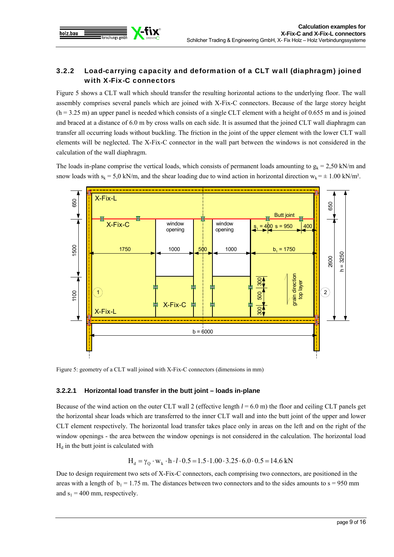

# 3.2.2 Load-carrying capacity and deformation of a CLT wall (diaphragm) joined with X-Fix-C connectors

Figure 5 shows a CLT wall which should transfer the resulting horizontal actions to the underlying floor. The wall assembly comprises several panels which are joined with X-Fix-C connectors. Because of the large storey height  $(h = 3.25 \text{ m})$  an upper panel is needed which consists of a single CLT element with a height of 0.655 m and is joined and braced at a distance of 6.0 m by cross walls on each side. It is assumed that the joined CLT wall diaphragm can transfer all occurring loads without buckling. The friction in the joint of the upper element with the lower CLT wall elements will be neglected. The X-Fix-C connector in the wall part between the windows is not considered in the calculation of the wall diaphragm.

The loads in-plane comprise the vertical loads, which consists of permanent loads amounting to  $g_k = 2.50 \text{ kN/m}$  and snow loads with  $s_k = 5.0$  kN/m, and the shear loading due to wind action in horizontal direction  $w_k = \pm 1.00$  kN/m<sup>2</sup>.



Figure 5: geometry of a CLT wall joined with X-Fix-C connectors (dimensions in mm)

### **3.2.2.1 Horizontal load transfer in the butt joint – loads in-plane**

Because of the wind action on the outer CLT wall 2 (effective length  $l = 6.0$  m) the floor and ceiling CLT panels get the horizontal shear loads which are transferred to the inner CLT wall and into the butt joint of the upper and lower CLT element respectively. The horizontal load transfer takes place only in areas on the left and on the right of the window openings - the area between the window openings is not considered in the calculation. The horizontal load  $H_d$  in the butt joint is calculated with

$$
H_d = \gamma_Q \cdot w_k \cdot h \cdot l \cdot 0.5 = 1.5 \cdot 1.00 \cdot 3.25 \cdot 6.0 \cdot 0.5 = 14.6 \text{ kN}
$$

Due to design requirement two sets of X-Fix-C connectors, each comprising two connectors, are positioned in the areas with a length of  $b_1 = 1.75$  m. The distances between two connectors and to the sides amounts to  $s = 950$  mm and  $s_1 = 400$  mm, respectively.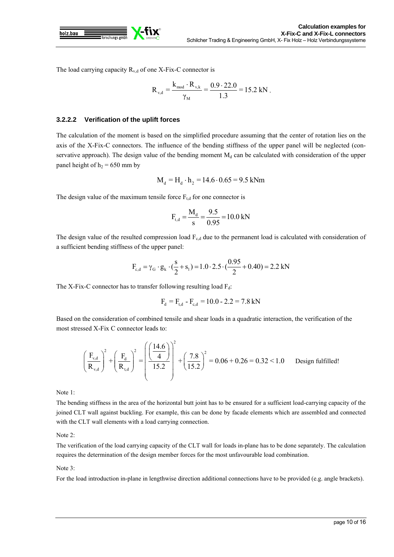

The load carrying capacity  $R_{v,d}$  of one X-Fix-C connector is

$$
R_{v,d} = \frac{k_{\text{mod}} \cdot R_{v,k}}{\gamma_M} = \frac{0.9 \cdot 22.0}{1.3} = 15.2 \text{ kN}.
$$

#### **3.2.2.2 Verification of the uplift forces**

The calculation of the moment is based on the simplified procedure assuming that the center of rotation lies on the axis of the X-Fix-C connectors. The influence of the bending stiffness of the upper panel will be neglected (conservative approach). The design value of the bending moment  $M_d$  can be calculated with consideration of the upper panel height of  $h_2$  = 650 mm by

$$
M_d = H_d \cdot h_2 = 14.6 \cdot 0.65 = 9.5 \text{ kNm}
$$

The design value of the maximum tensile force  $F_{t,d}$  for one connector is

$$
F_{t,d} = \frac{M_d}{s} = \frac{9.5}{0.95} = 10.0 \text{ kN}
$$

The design value of the resulted compression load  $F_{c,d}$  due to the permanent load is calculated with consideration of a sufficient bending stiffness of the upper panel:

$$
F_{c,d} = \gamma_G \cdot g_k \cdot (\frac{s}{2} + s_1) = 1.0 \cdot 2.5 \cdot (\frac{0.95}{2} + 0.40) = 2.2 \text{ kN}
$$

The X-Fix-C connector has to transfer following resulting load  $F_d$ :

$$
F_{d} = F_{t,d} - F_{c,d} = 10.0 - 2.2 = 7.8 \text{ kN}
$$

Based on the consideration of combined tensile and shear loads in a quadratic interaction, the verification of the most stressed X-Fix C connector leads to:

$$
\left(\frac{F_{v,d}}{R_{v,d}}\right)^2 + \left(\frac{F_d}{R_{t,d}}\right)^2 = \left(\frac{\left(\frac{14.6}{4}\right)}{15.2}\right)^2 + \left(\frac{7.8}{15.2}\right)^2 = 0.06 + 0.26 = 0.32 < 1.0
$$
 Design fulfilled!

Note 1:

The bending stiffness in the area of the horizontal butt joint has to be ensured for a sufficient load-carrying capacity of the joined CLT wall against buckling. For example, this can be done by facade elements which are assembled and connected with the CLT wall elements with a load carrying connection.

Note 2:

The verification of the load carrying capacity of the CLT wall for loads in-plane has to be done separately. The calculation requires the determination of the design member forces for the most unfavourable load combination.

#### Note 3:

For the load introduction in-plane in lengthwise direction additional connections have to be provided (e.g. angle brackets).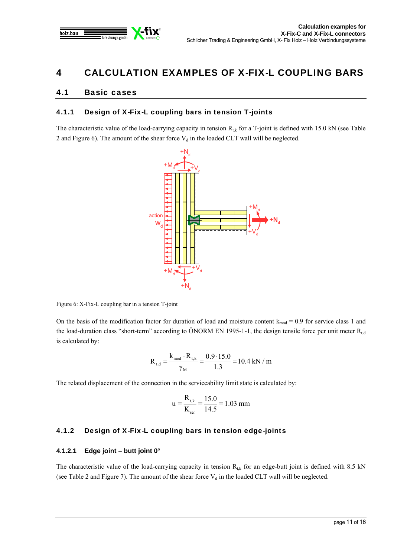

# 4 CALCULATION EXAMPLES OF X-FIX-L COUPLING BARS

# 4.1 Basic cases

### 4.1.1 Design of X-Fix-L coupling bars in tension T-joints

The characteristic value of the load-carrying capacity in tension  $R_{tk}$  for a T-joint is defined with 15.0 kN (see Table 2 and Figure 6). The amount of the shear force  $V_d$  in the loaded CLT wall will be neglected.



Figure 6: X-Fix-L coupling bar in a tension T-joint

On the basis of the modification factor for duration of load and moisture content  $k_{mod} = 0.9$  for service class 1 and the load-duration class "short-term" according to ÖNORM EN 1995-1-1, the design tensile force per unit meter  $R_{td}$ is calculated by:

$$
R_{t,d} = \frac{k_{mod} \cdot R_{t,k}}{\gamma_M} = \frac{0.9 \cdot 15.0}{1.3} = 10.4 \text{ kN / m}
$$

The related displacement of the connection in the serviceability limit state is calculated by:

$$
u = \frac{R_{\rm t,k}}{K_{\rm ser}} = \frac{15.0}{14.5} = 1.03 \text{ mm}
$$

# 4.1.2 Design of X-Fix-L coupling bars in tension edge-joints

### **4.1.2.1 Edge joint – butt joint 0°**

The characteristic value of the load-carrying capacity in tension  $R_{tk}$  for an edge-butt joint is defined with 8.5 kN (see Table 2 and Figure 7). The amount of the shear force  $V_d$  in the loaded CLT wall will be neglected.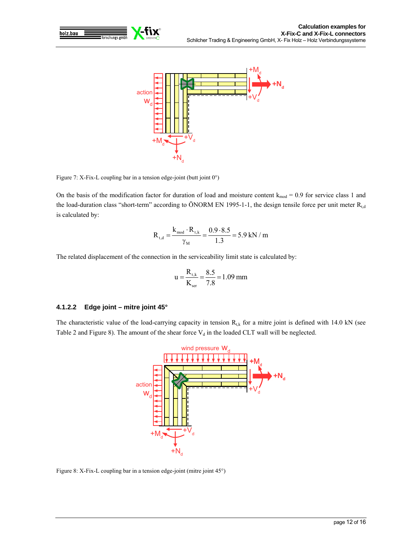



Figure 7: X-Fix-L coupling bar in a tension edge-joint (butt joint  $0^{\circ}$ )

On the basis of the modification factor for duration of load and moisture content  $k_{mod} = 0.9$  for service class 1 and the load-duration class "short-term" according to ÖNORM EN 1995-1-1, the design tensile force per unit meter  $R_{t,d}$ is calculated by:

$$
R_{t,d} = \frac{k_{mod} \cdot R_{t,k}}{\gamma_M} = \frac{0.9 \cdot 8.5}{1.3} = 5.9 \text{ kN / m}
$$

The related displacement of the connection in the serviceability limit state is calculated by:

$$
u = \frac{R_{t,k}}{K_{ser}} = \frac{8.5}{7.8} = 1.09 \text{ mm}
$$

#### **4.1.2.2 Edge joint – mitre joint 45°**

The characteristic value of the load-carrying capacity in tension  $R_{t,k}$  for a mitre joint is defined with 14.0 kN (see Table 2 and Figure 8). The amount of the shear force  $V_d$  in the loaded CLT wall will be neglected.



Figure 8: X-Fix-L coupling bar in a tension edge-joint (mitre joint 45°)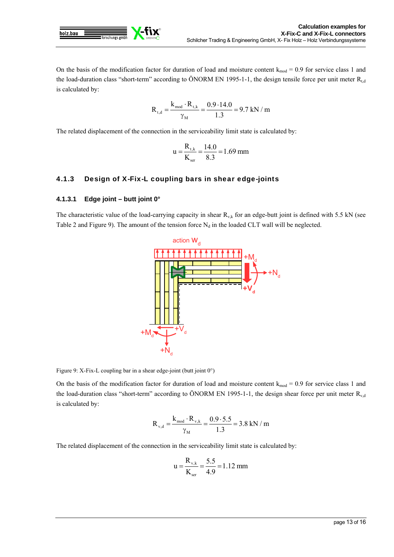

On the basis of the modification factor for duration of load and moisture content  $k_{mod} = 0.9$  for service class 1 and the load-duration class "short-term" according to ÖNORM EN 1995-1-1, the design tensile force per unit meter  $R_{t,d}$ is calculated by:

$$
R_{t,d} = \frac{k_{mod} \cdot R_{t,k}}{\gamma_M} = \frac{0.9 \cdot 14.0}{1.3} = 9.7 \text{ kN / m}
$$

The related displacement of the connection in the serviceability limit state is calculated by:

$$
u = \frac{R_{t,k}}{K_{ser}} = \frac{14.0}{8.3} = 1.69 \text{ mm}
$$

### 4.1.3 Design of X-Fix-L coupling bars in shear edge-joints

#### **4.1.3.1 Edge joint – butt joint 0°**

The characteristic value of the load-carrying capacity in shear  $R_{v,k}$  for an edge-butt joint is defined with 5.5 kN (see Table 2 and Figure 9). The amount of the tension force  $N_d$  in the loaded CLT wall will be neglected.



Figure 9: X-Fix-L coupling bar in a shear edge-joint (butt joint 0°)

On the basis of the modification factor for duration of load and moisture content  $k_{mod} = 0.9$  for service class 1 and the load-duration class "short-term" according to ÖNORM EN 1995-1-1, the design shear force per unit meter  $R_{v,d}$ is calculated by:

$$
R_{\rm v,d} = \frac{k_{\rm mod} \cdot R_{\rm v,k}}{\gamma_{\rm M}} = \frac{0.9 \cdot 5.5}{1.3} = 3.8 \text{ kN / m}
$$

The related displacement of the connection in the serviceability limit state is calculated by:

$$
u = \frac{R_{v,k}}{K_{ser}} = \frac{5.5}{4.9} = 1.12 \text{ mm}
$$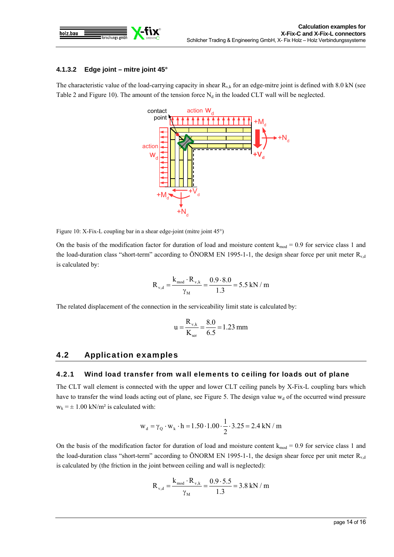

### **4.1.3.2 Edge joint – mitre joint 45°**

The characteristic value of the load-carrying capacity in shear  $R_{v,k}$  for an edge-mitre joint is defined with 8.0 kN (see Table 2 and Figure 10). The amount of the tension force  $N_d$  in the loaded CLT wall will be neglected.



Figure 10: X-Fix-L coupling bar in a shear edge-joint (mitre joint 45°)

On the basis of the modification factor for duration of load and moisture content  $k_{mod} = 0.9$  for service class 1 and the load-duration class "short-term" according to ÖNORM EN 1995-1-1, the design shear force per unit meter  $R_{v,d}$ is calculated by:

$$
R_{\rm v,d} = \frac{k_{\rm mod} \cdot R_{\rm v,k}}{\gamma_{\rm M}} = \frac{0.9 \cdot 8.0}{1.3} = 5.5 \text{ kN} \ / \text{ m}
$$

The related displacement of the connection in the serviceability limit state is calculated by:

$$
u = \frac{R_{v,k}}{K_{ser}} = \frac{8.0}{6.5} = 1.23 \text{ mm}
$$

### 4.2 Application examples

### 4.2.1 Wind load transfer from wall elements to ceiling for loads out of plane

The CLT wall element is connected with the upper and lower CLT ceiling panels by X-Fix-L coupling bars which have to transfer the wind loads acting out of plane, see Figure 5. The design value  $w_d$  of the occurred wind pressure  $w_k = \pm 1.00$  kN/m<sup>2</sup> is calculated with:

$$
w_d = \gamma_Q \cdot w_k \cdot h = 1.50 \cdot 1.00 \cdot \frac{1}{2} \cdot 3.25 = 2.4 \text{ kN} / m
$$

On the basis of the modification factor for duration of load and moisture content  $k_{mod} = 0.9$  for service class 1 and the load-duration class "short-term" according to ÖNORM EN 1995-1-1, the design shear force per unit meter  $R_{v,d}$ is calculated by (the friction in the joint between ceiling and wall is neglected):

$$
R_{\rm v,d} = \frac{k_{\rm mod} \cdot R_{\rm v,k}}{\gamma_{\rm M}} = \frac{0.9 \cdot 5.5}{1.3} = 3.8 \text{ kN / m}
$$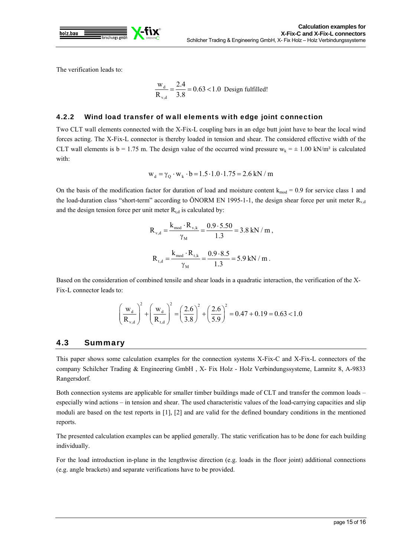

The verification leads to:

$$
\frac{W_d}{R_{v,d}} = \frac{2.4}{3.8} = 0.63 < 1.0 \text{ Design fulfilled!}
$$

### 4.2.2 Wind load transfer of wall elements with edge joint connection

Two CLT wall elements connected with the X-Fix-L coupling bars in an edge butt joint have to bear the local wind forces acting. The X-Fix-L connector is thereby loaded in tension and shear. The considered effective width of the CLT wall elements is  $b = 1.75$  m. The design value of the occurred wind pressure  $w_k = \pm 1.00$  kN/m<sup>2</sup> is calculated with:

$$
w_d = \gamma_Q \cdot w_k \cdot b = 1.5 \cdot 1.0 \cdot 1.75 = 2.6 \text{ kN} / m
$$

On the basis of the modification factor for duration of load and moisture content  $k_{mod} = 0.9$  for service class 1 and the load-duration class "short-term" according to ÖNORM EN 1995-1-1, the design shear force per unit meter  $R_{\rm v,d}$ and the design tension force per unit meter  $R_{t,d}$  is calculated by:

$$
R_{v,d} = \frac{k_{\text{mod}} \cdot R_{v,k}}{\gamma_M} = \frac{0.9 \cdot 5.50}{1.3} = 3.8 \text{ kN/m},
$$
  

$$
R_{t,d} = \frac{k_{\text{mod}} \cdot R_{t,k}}{\gamma_M} = \frac{0.9 \cdot 8.5}{1.3} = 5.9 \text{ kN/m}.
$$

Based on the consideration of combined tensile and shear loads in a quadratic interaction, the verification of the X-Fix-L connector leads to:

$$
\left(\frac{w_{d}}{R_{v,d}}\right)^{2} + \left(\frac{w_{d}}{R_{t,d}}\right)^{2} = \left(\frac{2.6}{3.8}\right)^{2} + \left(\frac{2.6}{5.9}\right)^{2} = 0.47 + 0.19 = 0.63 < 1.0
$$

# 4.3 Summary

This paper shows some calculation examples for the connection systems X-Fix-C and X-Fix-L connectors of the company Schilcher Trading & Engineering GmbH , X- Fix Holz - Holz Verbindungssysteme, Lamnitz 8, A-9833 Rangersdorf.

Both connection systems are applicable for smaller timber buildings made of CLT and transfer the common loads – especially wind actions – in tension and shear. The used characteristic values of the load-carrying capacities and slip moduli are based on the test reports in [1], [2] and are valid for the defined boundary conditions in the mentioned reports.

The presented calculation examples can be applied generally. The static verification has to be done for each building individually.

For the load introduction in-plane in the lengthwise direction (e.g. loads in the floor joint) additional connections (e.g. angle brackets) and separate verifications have to be provided.